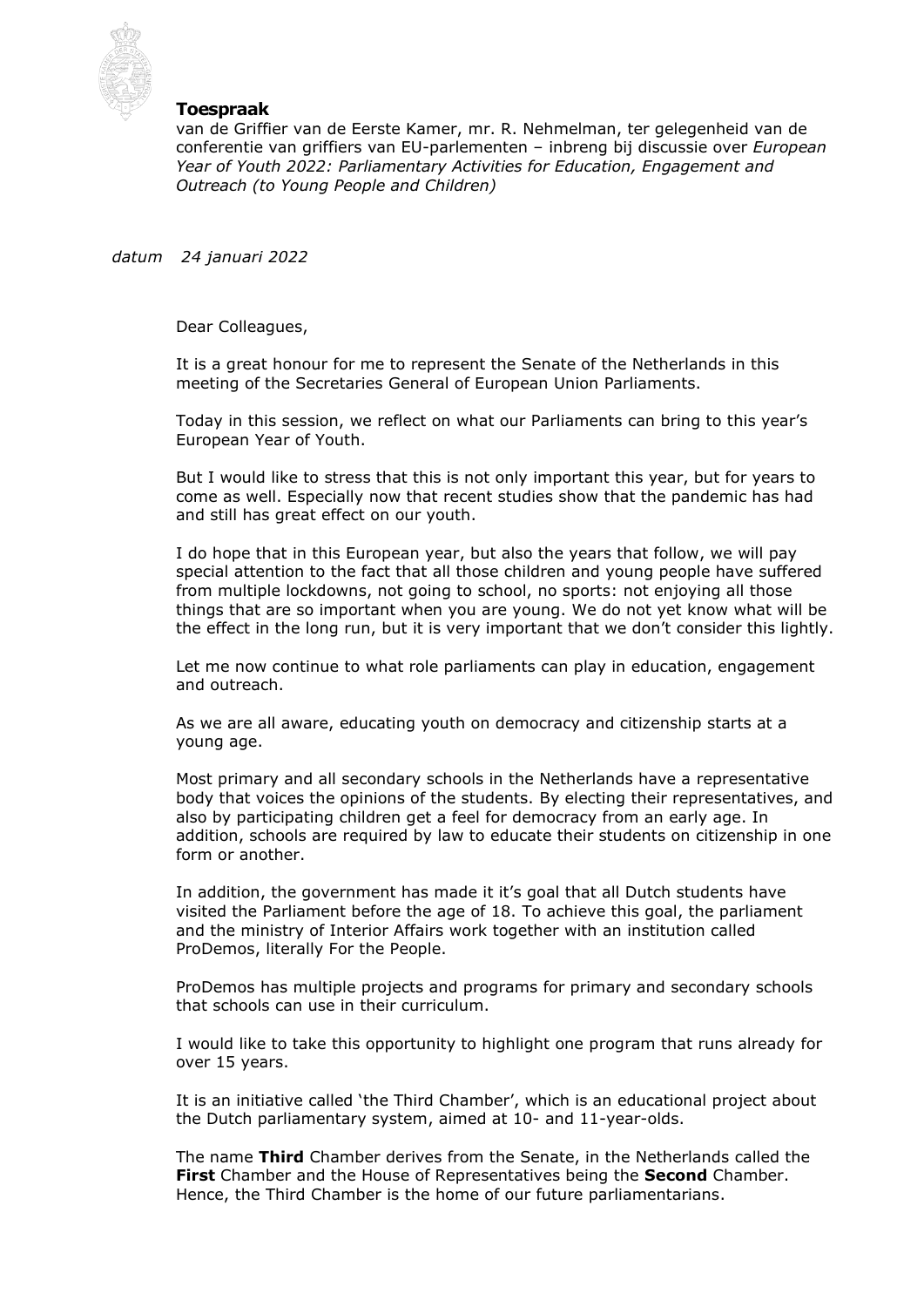

## **Toespraak**

van de Griffier van de Eerste Kamer, mr. R. Nehmelman, ter gelegenheid van de conferentie van griffiers van EU-parlementen – inbreng bij discussie over *European Year of Youth 2022: Parliamentary Activities for Education, Engagement and Outreach (to Young People and Children)*

*datum 24 januari 2022*

Dear Colleagues,

It is a great honour for me to represent the Senate of the Netherlands in this meeting of the Secretaries General of European Union Parliaments.

Today in this session, we reflect on what our Parliaments can bring to this year's European Year of Youth.

But I would like to stress that this is not only important this year, but for years to come as well. Especially now that recent studies show that the pandemic has had and still has great effect on our youth.

I do hope that in this European year, but also the years that follow, we will pay special attention to the fact that all those children and young people have suffered from multiple lockdowns, not going to school, no sports: not enjoying all those things that are so important when you are young. We do not yet know what will be the effect in the long run, but it is very important that we don't consider this lightly.

Let me now continue to what role parliaments can play in education, engagement and outreach.

As we are all aware, educating youth on democracy and citizenship starts at a young age.

Most primary and all secondary schools in the Netherlands have a representative body that voices the opinions of the students. By electing their representatives, and also by participating children get a feel for democracy from an early age. In addition, schools are required by law to educate their students on citizenship in one form or another.

In addition, the government has made it it's goal that all Dutch students have visited the Parliament before the age of 18. To achieve this goal, the parliament and the ministry of Interior Affairs work together with an institution called ProDemos, literally For the People.

ProDemos has multiple projects and programs for primary and secondary schools that schools can use in their curriculum.

I would like to take this opportunity to highlight one program that runs already for over 15 years.

It is an initiative called 'the Third Chamber', which is an educational project about the Dutch parliamentary system, aimed at 10- and 11-year-olds.

The name **Third** Chamber derives from the Senate, in the Netherlands called the **First** Chamber and the House of Representatives being the **Second** Chamber. Hence, the Third Chamber is the home of our future parliamentarians.